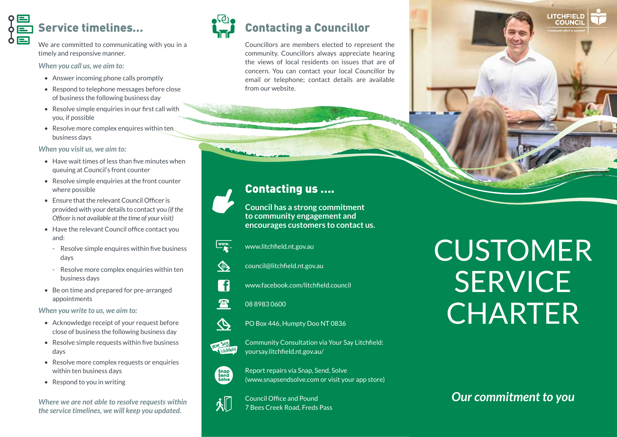# Service timelines…

We are committed to communicating with you in a timely and responsive manner.

*When you call us, we aim to:*

- Answer incoming phone calls promptly
- Respond to telephone messages before close of business the following business day
- Resolve simple enquiries in our first call with you, if possible
- Resolve more complex enquires within ten business days

#### *When you visit us, we aim to:*

- Have wait times of less than five minutes when queuing at Council's front counter
- Resolve simple enquiries at the front counter where possible
- Ensure that the relevant Council Officer is provided with your details to contact you *(if the Officer is not available at the time of your visit)*
- Have the relevant Council office contact you and:
	- Resolve simple enquires within five business days
	- Resolve more complex enquiries within ten business days
- Be on time and prepared for pre-arranged appointments

*When you write to us, we aim to:*

- Acknowledge receipt of your request before close of business the following business day
- Resolve simple requests within five business days
- Resolve more complex requests or enquiries within ten business days
- Respond to you in writing

*Where we are not able to resolve requests within the service timelines, we will keep you updated.*



Councillors are members elected to represent the community. Councillors always appreciate hearing the views of local residents on issues that are of concern. You can contact your local Councillor by email or telephone; contact details are available from our website.

## Contacting us ….

**Council has a strong commitment to community engagement and encourages customers to contact us.**

www.litchfield.nt.gov.au

**SOLUTION** council@litchfield.nt.gov.au



 $\sqrt{2}$ 

 $\phi$ 

www.facebook.com/litchfield.council

08 8983 0600

PO Box 446, Humpty Doo NT 0836



Community Consultation via Your Say Litchfield: yoursay.litchfield.nt.gov.au/



Report repairs via Snap, Send, Solve (www.snapsendsolve.com or visit your app store)

Council Office and Pound 7 Bees Creek Road, Freds Pass CUSTOMER SERVICE **CHARTER** 

**LITCHFIEL** 

*Our commitment to you*